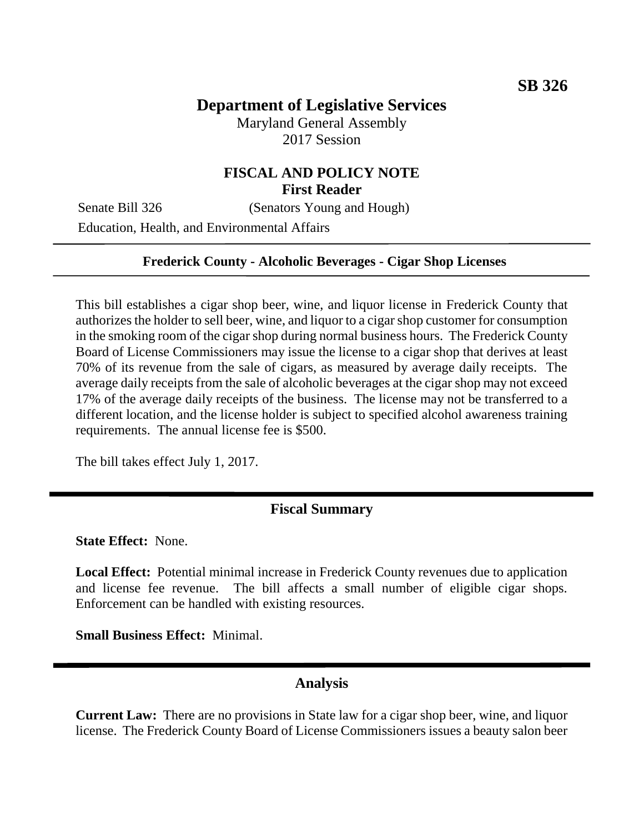# **Department of Legislative Services**

Maryland General Assembly 2017 Session

## **FISCAL AND POLICY NOTE First Reader**

Senate Bill 326 (Senators Young and Hough)

Education, Health, and Environmental Affairs

#### **Frederick County - Alcoholic Beverages - Cigar Shop Licenses**

This bill establishes a cigar shop beer, wine, and liquor license in Frederick County that authorizes the holder to sell beer, wine, and liquor to a cigar shop customer for consumption in the smoking room of the cigar shop during normal business hours. The Frederick County Board of License Commissioners may issue the license to a cigar shop that derives at least 70% of its revenue from the sale of cigars, as measured by average daily receipts. The average daily receipts from the sale of alcoholic beverages at the cigar shop may not exceed 17% of the average daily receipts of the business. The license may not be transferred to a different location, and the license holder is subject to specified alcohol awareness training requirements. The annual license fee is \$500.

The bill takes effect July 1, 2017.

### **Fiscal Summary**

**State Effect:** None.

**Local Effect:** Potential minimal increase in Frederick County revenues due to application and license fee revenue. The bill affects a small number of eligible cigar shops. Enforcement can be handled with existing resources.

**Small Business Effect:** Minimal.

### **Analysis**

**Current Law:** There are no provisions in State law for a cigar shop beer, wine, and liquor license. The Frederick County Board of License Commissioners issues a beauty salon beer